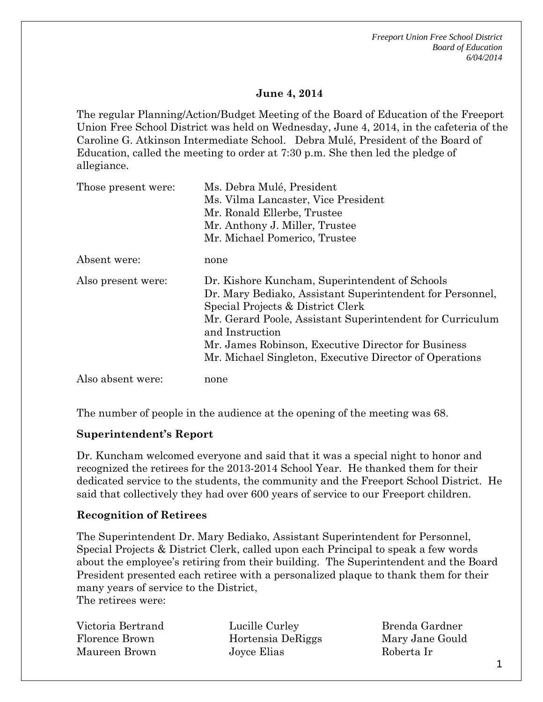*Freeport Union Free School District Board of Education 6/04/2014*

#### **June 4, 2014**

The regular Planning/Action/Budget Meeting of the Board of Education of the Freeport Union Free School District was held on Wednesday, June 4, 2014, in the cafeteria of the Caroline G. Atkinson Intermediate School. Debra Mulé, President of the Board of Education, called the meeting to order at 7:30 p.m. She then led the pledge of allegiance.

| Those present were: | Ms. Debra Mulé, President                                                                                                                                                                                     |
|---------------------|---------------------------------------------------------------------------------------------------------------------------------------------------------------------------------------------------------------|
|                     | Ms. Vilma Lancaster, Vice President                                                                                                                                                                           |
|                     | Mr. Ronald Ellerbe, Trustee                                                                                                                                                                                   |
|                     | Mr. Anthony J. Miller, Trustee                                                                                                                                                                                |
|                     | Mr. Michael Pomerico, Trustee                                                                                                                                                                                 |
| Absent were:        | none                                                                                                                                                                                                          |
| Also present were:  | Dr. Kishore Kuncham, Superintendent of Schools<br>Dr. Mary Bediako, Assistant Superintendent for Personnel,<br>Special Projects & District Clerk<br>Mr. Gerard Poole, Assistant Superintendent for Curriculum |
|                     | and Instruction                                                                                                                                                                                               |
|                     | Mr. James Robinson, Executive Director for Business                                                                                                                                                           |
|                     | Mr. Michael Singleton, Executive Director of Operations                                                                                                                                                       |
| Also absent were:   | none                                                                                                                                                                                                          |

The number of people in the audience at the opening of the meeting was 68.

#### **Superintendent's Report**

Dr. Kuncham welcomed everyone and said that it was a special night to honor and recognized the retirees for the 2013-2014 School Year. He thanked them for their dedicated service to the students, the community and the Freeport School District. He said that collectively they had over 600 years of service to our Freeport children.

## **Recognition of Retirees**

The Superintendent Dr. Mary Bediako, Assistant Superintendent for Personnel, Special Projects & District Clerk, called upon each Principal to speak a few words about the employee's retiring from their building. The Superintendent and the Board President presented each retiree with a personalized plaque to thank them for their many years of service to the District, The retirees were:

Victoria Bertrand Florence Brown Maureen Brown

Lucille Curley Hortensia DeRiggs Joyce Elias

Brenda Gardner Mary Jane Gould Roberta Ir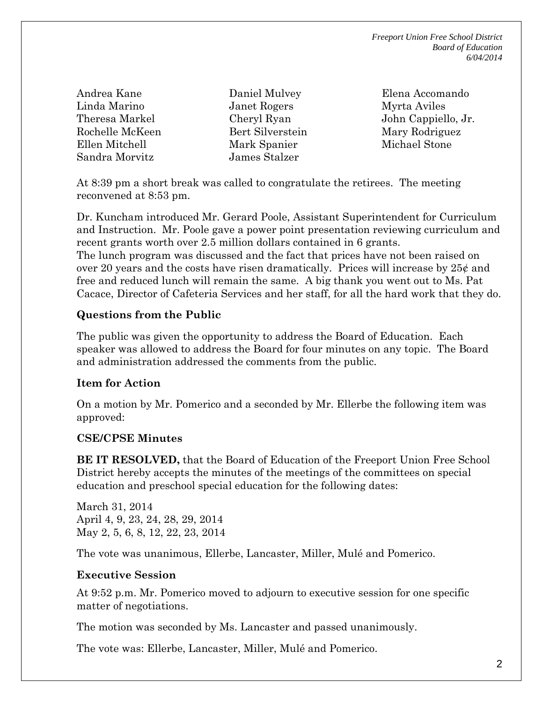*Freeport Union Free School District Board of Education 6/04/2014*

Andrea Kane Linda Marino Theresa Markel Rochelle McKeen Ellen Mitchell Sandra Morvitz

Daniel Mulvey Janet Rogers Cheryl Ryan Bert Silverstein Mark Spanier James Stalzer

Elena Accomando Myrta Aviles John Cappiello, Jr. Mary Rodriguez Michael Stone

At 8:39 pm a short break was called to congratulate the retirees. The meeting reconvened at 8:53 pm.

Dr. Kuncham introduced Mr. Gerard Poole, Assistant Superintendent for Curriculum and Instruction. Mr. Poole gave a power point presentation reviewing curriculum and recent grants worth over 2.5 million dollars contained in 6 grants. The lunch program was discussed and the fact that prices have not been raised on over 20 years and the costs have risen dramatically. Prices will increase by  $25¢$  and free and reduced lunch will remain the same. A big thank you went out to Ms. Pat Cacace, Director of Cafeteria Services and her staff, for all the hard work that they do.

# **Questions from the Public**

The public was given the opportunity to address the Board of Education. Each speaker was allowed to address the Board for four minutes on any topic. The Board and administration addressed the comments from the public.

## **Item for Action**

On a motion by Mr. Pomerico and a seconded by Mr. Ellerbe the following item was approved:

## **CSE/CPSE Minutes**

**BE IT RESOLVED,** that the Board of Education of the Freeport Union Free School District hereby accepts the minutes of the meetings of the committees on special education and preschool special education for the following dates:

March 31, 2014 April 4, 9, 23, 24, 28, 29, 2014 May 2, 5, 6, 8, 12, 22, 23, 2014

The vote was unanimous, Ellerbe, Lancaster, Miller, Mulé and Pomerico.

## **Executive Session**

At 9:52 p.m. Mr. Pomerico moved to adjourn to executive session for one specific matter of negotiations.

The motion was seconded by Ms. Lancaster and passed unanimously.

The vote was: Ellerbe, Lancaster, Miller, Mulé and Pomerico.